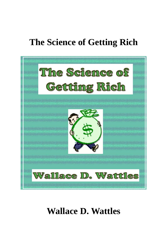#### **The Science of Getting Rich**



#### **Wallace D. Wattles**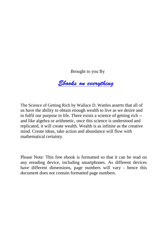Brought to you By

 *[Ebooks on everything](http://www.ebooksoneverything.com/)*

<span id="page-1-0"></span>The Science of Getting Rich by Wallace D. Wattles asserts that all of us have the ability to obtain enough wealth to live as we desire and to fulfil our purpose in life. There exists a science of getting rich - and like algebra or arithmetic, once this science is understood and replicated, it will create wealth. Wealth is as infinite as the creative mind. Create ideas, take action and abundance will flow with mathematical certainty.

Please Note: This free ebook is formatted so that it can be read on any ereading device, including smartphones. As different devices have different dimensions, page numbers will vary - hence this document does not contain formatted page numbers.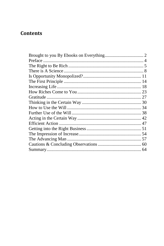#### **Contents**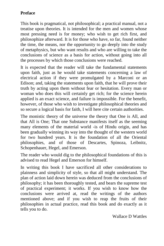#### <span id="page-3-0"></span>**Preface**

This book is pragmatical, not philosophical; a practical manual, not a treatise upon theories. It is intended for the men and women whose most pressing need is for money; who wish to get rich first, and philosophize afterward. It is for those who have, so far, found neither the time, the means, nor the opportunity to go deeply into the study of metaphysics, but who want results and who are willing to take the conclusions of science as a basis for action, without going into all the processes by which those conclusions were reached.

It is expected that the reader will take the fundamental statements upon faith, just as he would take statements concerning a law of electrical action if they were promulgated by a Marconi or an Edison; and, taking the statements upon faith, that he will prove their truth by acting upon them without fear or hesitation. Every man or woman who does this will certainly get rich; for the science herein applied is an exact science, and failure is impossible. For the benefit, however, of those who wish to investigate philosophical theories and so secure a logical basis for faith, I will here cite certain authorities.

The monistic theory of the universe the theory that One is All, and that All is One; That one Substance manifests itself as the seeming many elements of the material world -is of Hindu origin, and has been gradually winning its way into the thought of the western world for two hundred years. It is the foundation of all the Oriental philosophies, and of those of Descartes, Spinoza, Leibnitz, Schopenhauer, Hegel, and Emerson.

The reader who would dig to the philosophical foundations of this is advised to read Hegel and Emerson for himself.

In writing this book I have sacrificed all other considerations to plainness and simplicity of style, so that all might understand. The plan of action laid down herein was deduced from the conclusions of philosophy; it has been thoroughly tested, and bears the supreme test of practical experiment; it works. If you wish to know how the conclusions were arrived at, read the writings of the authors mentioned above; and if you wish to reap the fruits of their philosophies in actual practice, read this book and do exactly as it tells you to do.

Wallace D Wattles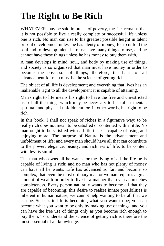## <span id="page-4-0"></span>**The Right to Be Rich**

WHATEVER may be said in praise of poverty, the fact remains that it is not possible to live a really complete or successful life unless one is rich. No man can rise to his greatest possible height in talent or soul development unless he has plenty of money; for to unfold the soul and to develop talent he must have many things to use, and he cannot have these things unless he has money to buy them with.

A man develops in mind, soul, and body by making use of things, and society is so organized that man must have money in order to become the possessor of things; therefore, the basis of all advancement for man must be the science of getting rich.

The object of all life is development; and everything that lives has an inalienable right to all the development it is capable of attaining.

Man's right to life means his right to have the free and unrestricted use of all the things which may be necessary to his fullest mental, spiritual, and physical unfoldment; or, in other words, his right to be rich.

In this book, I shall not speak of riches in a figurative way; to be really rich does not mean to be satisfied or contented with a little. No man ought to be satisfied with a little if he is capable of using and enjoying more. The purpose of Nature is the advancement and unfoldment of life; and every man should have all that can contribute to the power; elegance, beauty, and richness of life; to be content with less is sinful.

The man who owns all he wants for the living of all the life he is capable of living is rich; and no man who has not plenty of money can have all he wants. Life has advanced so far, and become so complex, that even the most ordinary man or woman requires a great amount of wealth in order to live in a manner that even approaches completeness. Every person naturally wants to become all that they are capable of becoming; this desire to realize innate possibilities is inherent in human nature; we cannot help wanting to be all that we can be. Success in life is becoming what you want to be; you can become what you want to be only by making use of things, and you can have the free use of things only as you become rich enough to buy them. To understand the science of getting rich is therefore the most essential of all knowledge.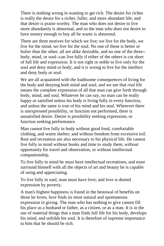There is nothing wrong in wanting to get rich. The desire for riches is really the desire for a richer, fuller, and more abundant life; and that desire is praise worthy. The man who does not desire to live more abundantly is abnormal, and so the man who does not desire to have money enough to buy all he wants is abnormal.

There are three motives for which we live; we live for the body, we live for the mind, we live for the soul. No one of these is better or holier than the other; all are alike desirable, and no one of the three- body, mind, or soul--can live fully if either of the others is cut short of full life and expression. It is not right or noble to live only for the soul and deny mind or body; and it is wrong to live for the intellect and deny body or soul.

We are all acquainted with the loathsome consequences of living for the body and denying both mind and soul; and we see that *real* life means the complete expression of all that man can give forth through body, mind, and soul. Whatever he can say, no man can be really happy or satisfied unless his body is living fully in every function, and unless the same is true of his mind and his soul. Wherever there is unexpressed possibility, or function not performed, there is unsatisfied desire. Desire is possibility seeking expression, or function seeking performance.

Man cannot live fully in body without good food, comfortable clothing, and warm shelter; and without freedom from excessive toil. Rest and recreation are also necessary to his physical life. He cannot live fully in mind without books and time to study them, without opportunity for travel and observation, or without intellectual companionship.

To live fully in mind he must have intellectual recreations, and must surround himself with all the objects of art and beauty he is capable of using and appreciating.

To live fully in soul, man must have love; and love is denied expression by poverty.

A man's highest happiness is found in the bestowal of benefits on those he loves; love finds its most natural and spontaneous expression in giving. The man who has nothing to give cannot fill his place as a husband or father, as a citizen, or as a man. It is in the use of material things that a man finds full life for his body, develops his mind, and unfolds his soul. It is therefore of supreme importance to him that he should be rich.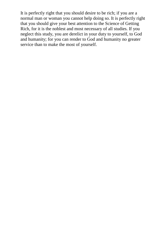It is perfectly right that you should desire to be rich; if you are a normal man or woman you cannot help doing so. It is perfectly right that you should give your best attention to the Science of Getting Rich, for it is the noblest and most necessary of all studies. If you neglect this study, you are derelict in your duty to yourself, to God and humanity; for you can render to God and humanity no greater service than to make the most of yourself.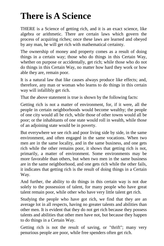#### <span id="page-7-0"></span>**There is A Science**

THERE is a Science of getting rich, and it is an exact science, like algebra or arithmetic. There are certain laws which govern the process of acquiring riches; once these laws are learned and obeyed by any man, he will get rich with mathematical certainty.

The ownership of money and property comes as a result of doing things in a certain way; those who do things in this Certain Way, whether on purpose or accidentally, get rich; while those who do not do things in this Certain Way, no matter how hard they work or how able they are, remain poor.

It is a natural law that like causes always produce like effects; and, therefore, any man or woman who learns to do things in this certain way will infallibly get rich.

That the above statement is true is shown by the following facts:

Getting rich is not a matter of environment, for, if it were, all the people in certain neighborhoods would become wealthy; the people of one city would all be rich, while those of other towns would all be poor; or the inhabitants of one state would roll in wealth, while those of an adjoining state would be in poverty.

But everywhere we see rich and poor living side by side, in the same environment, and often engaged in the same vocations. When two men are in the same locality, and in the same business, and one gets rich while the other remains poor, it shows that getting rich is not, primarily, a matter of environment. Some environments may be more favorable than others, but when two men in the same business are in the same neighborhood, and one gets rich while the other fails, it indicates that getting rich is the result of doing things in a Certain Way.

And further, the ability to do things in this certain way is not due solely to the possession of talent, for many people who have great talent remain poor, while other who have very little talent get rich.

Studying the people who have got rich, we find that they are an average lot in all respects, having no greater talents and abilities than other men. It is evident that they do not get rich because they possess talents and abilities that other men have not, but because they happen to do things in a Certain Way.

Getting rich is not the result of saving, or "thrift"; many very penurious people are poor, while free spenders often get rich.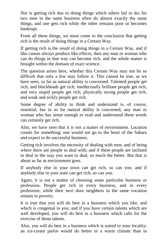Nor is getting rich due to doing things which others fail to do; for two men in the same business often do almost exactly the same things, and one gets rich while the other remains poor or becomes bankrupt.

From all these things, we must come to the conclusion that getting rich is the result of doing things in a Certain Way.

If getting rich is the result of doing things in a Certain Way, and if like causes always produce like effects, then any man or woman who can do things in that way can become rich, and the whole matter is brought within the domain of exact science.

The question arises here, whether this Certain Way may not be so difficult that only a few may follow it. This cannot be true, as we have seen, so far as natural ability is concerned. Talented people get rich, and blockheads get rich; intellectually brilliant people get rich, and very stupid people get rich; physically strong people get rich, and weak and sickly people get rich.

Some degree of ability to think and understand is, of course, essential; but in so far natural ability is concerned, any man or woman who has sense enough to read and understand these words can certainly get rich.

Also, we have seen that it is not a matter of environment. Location counts for something; one would not go to the heart of the Sahara and expect to do successful business.

Getting rich involves the necessity of dealing with men, and of being where there are people to deal with; and if these people are inclined to deal in the way you want to deal, so much the better. But that is about as far as environment goes.

If anybody else in your town can get rich, so can you; and if anybody else in your state can get rich, so can you.

Again, it is not a matter of choosing some particular business or profession. People get rich in every business, and in every profession; while their next door neighbors in the same vocation remain in poverty.

It is true that you will do best in a business which you like, and which is congenial to you; and if you have certain talents which are well developed, you will do best in a business which calls for the exercise of those talents.

Also, you will do best in a business which is suited to your locality; an ice-cream parlor would do better in a warm climate than in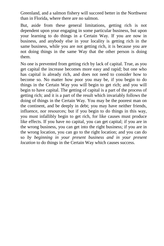Greenland, and a salmon fishery will succeed better in the Northwest than in Florida, where there are no salmon.

But, aside from these general limitations, getting rich is not dependent upon your engaging in some particular business, but upon your learning to do things in a Certain Way. If you are now in business, and anybody else in your locality is getting rich in the same business, while you are not getting rich, it is because you are not doing things in the same Way that the other person is doing them.

No one is prevented from getting rich by lack of capital. True, as you get capital the increase becomes more easy and rapid; but one who has capital is already rich, and does not need to consider how to become so. No matter how poor you may be, if you begin to do things in the Certain Way you will begin to get rich; and you will begin to have capital. The getting of capital is a part of the process of getting rich; and it is a part of the result which invariably follows the doing of things in the Certain Way. You may be the poorest man on the continent, and be deeply in debt; you may have neither friends, influence, nor resources; but if you begin to do things in this way, you must infallibly begin to get rich, for like causes must produce like effects. If you have no capital, you can get capital; if you are in the wrong business, you can get into the right business; if you are in the wrong location, you can go to the right location; and you can do so *by beginning in your present business and in your present location* to do things in the Certain Way which causes success.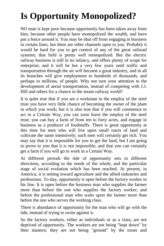# <span id="page-10-0"></span>**Is Opportunity Monopolized?**

NO man is kept poor because opportunity has been taken away from him; because other people have monopolized the wealth, and have put a fence around it. You may be shut off from engaging in business in certain lines, but there are other channels open to you. Probably it would be hard for you to get control of any of the great railroad systems; that field is pretty well monopolized. But the electric railway business is still in its infancy, and offers plenty of scope for enterprise; and it will be but a very few years until traffic and transportation through the air will become a great industry, and in all its branches will give employment to hundreds of thousands, and perhaps to millions, of people. Why not turn your attention to the development of aerial transportation, instead of competing with J.J. Hill and others for a chance in the steam railway world?

It is quite true that if you are a workman in the employ of the steel trust you have very little chance of becoming the owner of the plant in which you work; but it is also true that if you will commence to act in a Certain Way, you can soon leave the employ of the steel trust; you can buy a farm of from ten to forty acres, and engage in business as a producer of foodstuffs. There is great opportunity at this time for men who will live upon small tracts of land and cultivate the same intensively; such men will certainly get rich. You may say that it is impossible for you to get the land, but I am going to prove to you that it is not impossible, and that you can certainly get a farm if you will go to work in a Certain Way.

At different periods the tide of opportunity sets in different directions, according to the needs of the whole, and the particular stage of social evolution which has been reached. At present, in America, it is setting toward agriculture and the allied industries and professions. To-day, opportunity is open before the factory worker in his line. It is open before the business man who supplies the farmer more than before the one who supplies the factory worker; and before the professional man who waits upon the farmer more than before the one who serves the working class.

There is abundance of opportunity for the man who will go with the tide, instead of trying to swim against it.

So the factory workers, either as individuals or as a class, are not deprived of opportunity. The workers are not being "kept down" by their masters; they are not being "ground" by the trusts and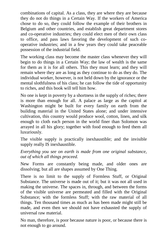combinations of capital. As a class, they are where they are because they do not do things in a Certain Way. If the workers of America chose to do so, they could follow the example of their brothers in Belgium and other countries, and establish great department stores and co-operative industries; they could elect men of their own class to office, and pass laws favoring the development of such cooperative industries; and in a few years they could take peaceable possession of the industrial field.

The working class may become the master class whenever they will begin to do things in a Certain Way; the law of wealth is the same for them as it is for all others. This they must learn; and they will remain where they are as long as they continue to do as they do. The individual worker, however, is not held down by the ignorance or the mental slothfulness of his class; he can follow the tide of opportunity to riches, and this book will tell him how.

No one is kept in poverty by a shortness in the supply of riches; there is more than enough for all. A palace as large as the capitol at Washington might be built for every family on earth from the building material in the United States alone; and under intensive cultivation, this country would produce wool, cotton, linen, and silk enough to cloth each person in the world finer than Solomon was arrayed in all his glory; together with food enough to feed them all luxuriously.

The visible supply is practically inexhaustible; and the invisible supply really IS inexhaustible.

*Everything you see on earth is made from one original substance, out of which all things proceed.* 

New Forms are constantly being made, and older ones are dissolving; but all are shapes assumed by One Thing.

There is no limit to the supply of Formless Stuff, or Original Substance. The universe is made out of it; but it was not all used in making the universe. The spaces in, through, and between the forms of the visible universe are permeated and filled with the Original Substance; with the formless Stuff; with the raw material of all things. Ten thousand times as much as has been made might still be made, and even then we should not have exhausted the supply of universal raw material.

No man, therefore, is poor because nature is poor, or because there is not enough to go around.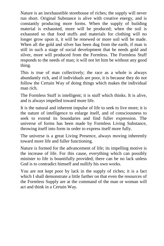Nature is an inexhaustible storehouse of riches; the supply will never run short. Original Substance is alive with creative energy, and is constantly producing more forms. When the supply of building material is exhausted, more will be produced; when the soil is exhausted so that food stuffs and materials for clothing will no longer grow upon it, it will be renewed or more soil will be made. When all the gold and silver has been dug from the earth, if man is still in such a stage of social development that he needs gold and silver, more will produced from the Formless. The Formless Stuff responds to the needs of man; it will not let him be without any good thing.

This is true of man collectively; the race as a whole is always abundantly rich, and if individuals are poor, it is because they do not follow the Certain Way of doing things which makes the individual man rich.

The Formless Stuff is intelligent; it is stuff which thinks. It is alive, and is always impelled toward more life.

It is the natural and inherent impulse of life to seek to live more; it is the nature of intelligence to enlarge itself, and of consciousness to seek to extend its boundaries and find fuller expression. The universe of forms has been made by Formless Living Substance, throwing itself into form in order to express itself more fully.

The universe is a great Living Presence, always moving inherently toward more life and fuller functioning.

Nature is formed for the advancement of life; its impelling motive is the increase of life. For this cause, everything which can possibly minister to life is bountifully provided; there can be no lack unless God is to contradict himself and nullify his own works.

You are not kept poor by lack in the supply of riches; it is a fact which I shall demonstrate a little farther on that even the resources of the Formless Supply are at the command of the man or woman will act and think in a Certain Way.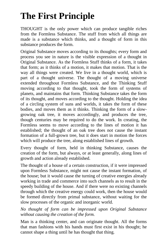#### <span id="page-13-0"></span>**The First Principle**

THOUGHT is the only power which can produce tangible riches from the Formless Substance. The stuff from which all things are made is a substance which thinks, and a thought of form in this substance produces the form.

Original Substance moves according to its thoughts; every form and process you see in nature is the visible expression of a thought in Original Substance. As the Formless Stuff thinks of a form, it takes that form; as it thinks of a motion, it makes that motion. That is the way all things were created. We live in a thought world, which is part of a thought universe. The thought of a moving universe extended throughout Formless Substance, and the Thinking Stuff moving according to that thought, took the form of systems of planets, and maintains that form. Thinking Substance takes the form of its thought, and moves according to the thought. Holding the idea of a circling system of suns and worlds, it takes the form of these bodies, and moves them as it thinks. Thinking the form of a slowgrowing oak tree, it moves accordingly, and produces the tree, though centuries may be required to do the work. In creating, the Formless seems to move according to the lines of motion it has established; the thought of an oak tree does not cause the instant formation of a full-grown tree, but it does start in motion the forces which will produce the tree, along established lines of growth.

Every thought of form, held in thinking Substance, causes the creation of the form, but always, or at least generally, along lines of growth and action already established.

The thought of a house of a certain construction, if it were impressed upon Formless Substance, might not cause the instant formation, of the house; but it would cause the turning of creative energies already working in trade and commerce into such channels as to result in the speedy building of the house. And if there were no existing channels through which the creative energy could work, then the house would be formed directly from primal substance, without waiting for the slow processes of the organic and inorganic world.

*No thought of form can be impressed upon Original Substance without causing the creation of the form.* 

Man is a thinking center, and can originate thought. All the forms that man fashions with his hands must first exist in his thought; he cannot shape a thing until he has thought that thing.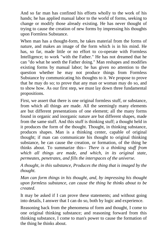And so far man has confined his efforts wholly to the work of his hands; he has applied manual labor to the world of forms, seeking to change or modify those already existing. He has never thought of trying to cause the creation of new forms by impressing his thoughts upon Formless Substance.

When man has a thought-form, he takes material from the forms of nature, and makes an image of the form which is in his mind. He has, so far, made little or no effort to co-operate with Formless Intelligence; to work "with the Father." He has not dreamed that he can "do what he seeth the Father doing." Man reshapes and modifies existing forms by manual labor; he has given no attention to the question whether he may not produce things from Formless Substance by communicating his thoughts to it. We propose to prove that he may do so; to prove that any man or woman may do so, and to show how. As our first step, we must lay down three fundamental propositions.

First, we assert that there is one original formless stuff, or substance, from which all things are made. All the seemingly many elements are but different presentations of one element; all the many forms found in organic and inorganic nature are but different shapes, made from the same stuff. And this stuff is thinking stuff; a thought held in it produces the form of the thought. Thought, in thinking substance, produces shapes. Man is a thinking center, capable of original thought; if man can communicate his thought to original thinking substance, he can cause the creation, or formation, of the thing he thinks about. To summarize this-- *There is a thinking stuff from which all things are made, and which, in its original state, permeates, penetrates, and fills the interspaces of the universe.* 

*A thought, in this substance, Produces the thing that is imaged by the thought.* 

*Man can form things in his thought, and, by impressing his thought upon formless substance, can cause the thing he thinks about to be created.* 

It may be asked if I can prove these statements; and without going into details, I answer that I can do so, both by logic and experience.

Reasoning back from the phenomena of form and thought, I come to one original thinking substance; and reasoning forward from this thinking substance, I come to man's power to cause the formation of the thing he thinks about.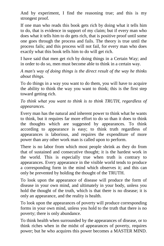And by experiment, I find the reasoning true; and this is my strongest proof.

If one man who reads this book gets rich by doing what it tells him to do, that is evidence in support of my claim; but if every man who does what it tells him to do gets rich, that is positive proof until some one goes through the process and fails. The theory is true until the process fails; and this process will not fail, for every man who does exactly what this book tells him to do will get rich.

I have said that men get rich by doing things in a Certain Way; and in order to do so, men must become able to think in a certain way.

*A man's way of doing things is the direct result of the way he thinks about things.* 

To do things in a way you want to do them, you will have to acquire the ability to think the way you want to think; this is the first step toward getting rich.

*To think what you want to think is to think TRUTH, regardless of appearances.* 

Every man has the natural and inherent power to think what he wants to think, but it requires far more effort to do so than it does to think the thoughts which are suggested by appearances. To think according to appearance is easy; to think truth regardless of appearances is laborious, and requires the expenditure of more power than any other work man is called upon to perform.

There is no labor from which most people shrink as they do from that of sustained and consecutive thought; it is the hardest work in the world. This is especially true when truth is contrary to appearances. Every appearance in the visible world tends to produce a corresponding form in the mind which observes it; and this can only be prevented by holding the thought of the TRUTH.

To look upon the appearance of disease will produce the form of disease in your own mind, and ultimately in your body, unless you hold the thought of the truth, which is that there is no disease; it is only an appearance, and the reality is health.

To look upon the appearances of poverty will produce corresponding forms in your own mind, unless you hold to the truth that there is no poverty; there is only abundance.

To think health when surrounded by the appearances of disease, or to think riches when in the midst of appearances of poverty, requires power; but he who acquires this power becomes a MASTER MIND.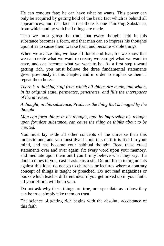He can conquer fate; he can have what he wants. This power can only be acquired by getting hold of the basic fact which is behind all appearances; and that fact is that there is one Thinking Substance, from which and by which all things are made.

Then we must grasp the truth that every thought held in this substance becomes a form, and that man can so impress his thoughts upon it as to cause them to take form and become visible things.

When we realize this, we lose all doubt and fear, for we know that we can create what we want to create; we can get what we want to have, and can become what we want to be. As a first step toward getting rich, you must believe the three fundamental statements given previously in this chapter; and in order to emphasize them. I repeat them here:--

*There is a thinking stuff from which all things are made, and which, in its original state, permeates, penetrates, and fills the interspaces of the universe.* 

*A thought, in this substance, Produces the thing that is imaged by the thought.* 

*Man can form things in his thought, and, by impressing his thought upon formless substance, can cause the thing he thinks about to be created.* 

You must lay aside all other concepts of the universe than this monistic one; and you must dwell upon this until it is fixed in your mind, and has become your habitual thought. Read these creed statements over and over again; fix every word upon your memory, and meditate upon them until you firmly believe what they say. If a doubt comes to you, cast it aside as a sin. Do not listen to arguments against this idea; do not go to churches or lectures where a contrary concept of things is taught or preached. Do not read magazines or books which teach a different idea; if you get mixed up in your faith, all your efforts will be in vain.

Do not ask why these things are true, nor speculate as to how they can be true; simply take them on trust.

The science of getting rich begins with the absolute acceptance of this faith.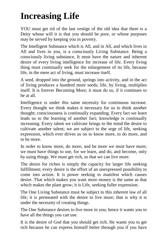#### <span id="page-17-0"></span>**Increasing Life**

YOU must get rid of the last vestige of the old idea that there is a Deity whose will it is that you should be poor, or whose purposes may be served by keeping you in poverty.

The Intelligent Substance which is All, and in All, and which lives in All and lives in you, is a consciously Living Substance. Being a consciously living substance, It must have the nature and inherent desire of every living intelligence for increase of life. Every living thing must continually seek for the enlargement of its life, because life, in the mere act of living, must increase itself.

A seed, dropped into the ground, springs into activity, and in the act of living produces a hundred more seeds; life, by living, multiplies itself. It is forever Becoming More; it must do so, if it continues to be at all.

Intelligence is under this same necessity for continuous increase. Every thought we think makes it necessary for us to think another thought; consciousness is continually expanding. Every fact we learn leads us to the learning of another fact; knowledge is continually increasing. Every talent we cultivate brings to the mind the desire to cultivate another talent; we are subject to the urge of life, seeking expression, which ever drives us on to know more, to do more, and to be more.

In order to know more, do more, and be more we must have more; we must have things to use, for we learn, and do, and become, only by using things. We must get rich, so that we can live more.

The desire for riches is simply the capacity for larger life seeking fulfillment; every desire is the effort of an unexpressed possibility to come into action. It is power seeking to manifest which causes desire. That which makes you want more money is the same as that which makes the plant grow; it is Life, seeking fuller expression.

The One Living Substance must be subject to this inherent law of all life; it is permeated with the desire to live more; that is why it is under the necessity of creating things.

The One Substance desires to live more in you; hence it wants you to have all the things you can use.

It is the desire of God that you should get rich. He wants you to get rich because he can express himself better through you if you have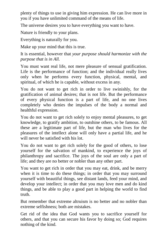plenty of things to use in giving him expression. He can live more in you if you have unlimited command of the means of life.

The universe desires you to have everything you want to have.

Nature is friendly to your plans.

Everything is naturally for you.

Make up your mind that this is true.

It is essential, however that *your purpose should harmonize with the purpose that is in All.* 

You must want real life, not mere pleasure of sensual gratification. Life is the performance of function; and the individual really lives only when he performs every function, physical, mental, and spiritual, of which he is capable, without excess in any.

You do not want to get rich in order to live swinishly, for the gratification of animal desires; that is not life. But the performance of every physical function is a part of life, and no one lives completely who denies the impulses of the body a normal and healthful expression.

You do not want to get rich solely to enjoy mental pleasures, to get knowledge, to gratify ambition, to outshine others, to be famous. All these are a legitimate part of life, but the man who lives for the pleasures of the intellect alone will only have a partial life, and he will never be satisfied with his lot.

You do not want to get rich solely for the good of others, to lose yourself for the salvation of mankind, to experience the joys of philanthropy and sacrifice. The joys of the soul are only a part of life; and they are no better or nobler than any other part.

You want to get rich in order that you may eat, drink, and be merry when it is time to do these things; in order that you may surround yourself with beautiful things, see distant lands, feed your mind, and develop your intellect; in order that you may love men and do kind things, and be able to play a good part in helping the world to find truth.

But remember that extreme altruism is no better and no nobler than extreme selfishness; both are mistakes.

Get rid of the idea that God wants you to sacrifice yourself for others, and that you can secure his favor by doing so; God requires nothing of the kind.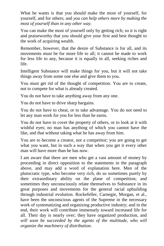What he wants is that you should make the most of yourself, for yourself, and for others; and *you can help others more by making the most of yourself than in any other way.* 

You can make the most of yourself only by getting rich; so it is right and praiseworthy that you should give your first and best thought to the work of acquiring wealth.

Remember, however, that the desire of Substance is for all, and its movements must be for more life to all; it cannot be made to work for less life to any, because it is equally in all, seeking riches and life.

Intelligent Substance will make things for you, but it will not take things away from some one else and give them to you.

You must get rid of the thought of competition. You are to create, not to compete for what is already created.

You do not have to take anything away from any one.

You do not have to drive sharp bargains.

You do not have to cheat, or to take advantage. You do not need to let any man work for you for less than he earns.

You do not have to covet the property of others, or to look at it with wishful eyes; no man has anything of which you cannot have the like, and that without taking what he has away from him.

You are to become a creator, not a competitor; you are going to get what you want, but in such a way that when you get it every other man will have more than he has now.

I am aware that there are men who get a vast amount of money by proceeding in direct opposition to the statements in the paragraph above, and may add a word of explanation here. Men of the plutocratic type, who become very rich, do so sometimes purely by their extraordinary ability on the plane of competition; and sometimes they unconsciously relate themselves to Substance in its great purposes and movements for the general racial upbuilding through industrial evolution. Rockefeller, Carnegie, Morgan, et al., have been the unconscious agents of the Supreme in the necessary work of systematizing and organizing productive industry; and in the end, their work will contribute immensely toward increased life for all. Their day is nearly over; they have organized production, and will soon be succeeded by the agents of the multitude, who will *organize the machinery of distribution.*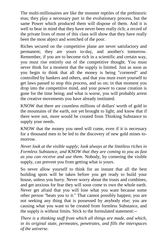The multi-millionaires are like the monster reptiles of the prehistoric eras; they play a necessary part in the evolutionary process, but the same Power which produced them will dispose of them. And it is well to bear in mind that they have never been really rich; a record of the private lives of most of this class will show that they have really been the most abject and wretched of the poor.

Riches secured on the competitive plane are never satisfactory and permanent; they are yours to-day, and another's tomorrow. Remember, if you are to become rich in a scientific and certain way, you must rise entirely out of the competitive thought. You must never think for a moment that the supply is limited. Just as soon as you begin to think that all the money is being "cornered" and controlled by bankers and others, and that you must exert yourself to get laws passed to stop this process, and so on; in that moment you drop into the competitive mind, and your power to cause creation is gone for the time being; and what is worse, you will probably arrest the creative movements you have already instituted.

KNOW that there are countless millions of dollars' worth of gold in the mountains of the earth, not yet brought to light; and know that if there were not, more would be created from Thinking Substance to supply your needs.

KNOW that the money you need will come, even if it is necessary for a thousand men to be led to the discovery of new gold mines tomorrow.

*Never look at the visible supply; look always at the limitless riches in Formless Substance, and KNOW that they are coming to you as fast as you can receive and use them*. Nobody, by cornering the visible supply, can prevent you from getting what is yours.

So never allow yourself to think for an instant that all the best building spots will be taken before you get ready to build your house, unless you hurry. Never worry about the trusts and combines, and get anxious for fear they will soon come to own the whole earth. Never get afraid that you will lose what you want because some other person "beats you to it." That cannot possibly happen; you are not seeking any thing that is possessed by anybody else; you are causing what you want to be created from formless Substance, and the supply is without limits. Stick to the formulated statement:--

*There is a thinking stuff from which all things are made, and which, in its original state, permeates, penetrates, and fills the interspaces of the universe.*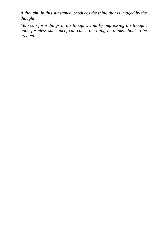*A thought, in this substance, produces the thing that is imaged by the thought.* 

*Man can form things in his thought, and, by impressing his thought upon formless substance, can cause the thing he thinks about to be created.*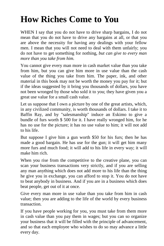#### <span id="page-22-0"></span>**How Riches Come to You**

WHEN I say that you do not have to drive sharp bargains, I do not mean that you do not have to drive any bargains at all, or that you are above the necessity for having any dealings with your fellow men. I mean that you will not need to deal with them unfairly; you do not have to get something for nothing, *but can give to every man more than you take from him.* 

You cannot give every man more in cash market value than you take from him, but you can give him more in use value than the cash value of the thing you take from him. The paper, ink, and other material in this book may not be worth the money you pay for it; but if the ideas suggested by it bring you thousands of dollars, you have not been wronged by those who sold it to you; they have given you a great use value for a small cash value.

Let us suppose that I own a picture by one of the great artists, which, in any civilized community, is worth thousands of dollars. I take it to Baffin Ray, and by "salesmanship" induce an Eskimo to give a bundle of furs worth \$ 500 for it. I have really wronged him, for he has no use for the picture; it has no use value to him; it will not add to his life.

But suppose I give him a gun worth \$50 for his furs; then he has made a good bargain. He has use for the gun; it will get him many more furs and much food; it will add to his life in every way; it will make him rich.

When you rise from the competitive to the creative plane, you can scan your business transactions very strictly, and if you are selling any man anything which does not add more to his life than the thing he give you in exchange, you can afford to stop it. You do not have to beat anybody in business. And if you are in a business which does beat people, get out of it at once.

Give every man more in use value than you take from him in cash value; then you are adding to the life of the world by every business transaction.

If you have people working for you, you must take from them more in cash value than you pay them in wages; but you can so organize your business that it will be filled with the principle of advancement, and so that each employee who wishes to do so may advance a little every day.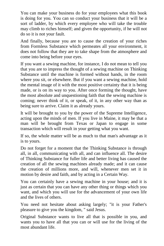You can make your business do for your employees what this book is doing for you. You can so conduct your business that it will be a sort of ladder, by which every employee who will take the trouble may climb to riches himself; and given the opportunity, if he will not do so it is not your fault.

And finally, because you are to cause the creation of your riches from Formless Substance which permeates all your environment, it does not follow that they are to take shape from the atmosphere and come into being before your eyes.

If you want a sewing machine, for instance, I do not mean to tell you that you are to impress the thought of a sewing machine on Thinking Substance until the machine is formed without hands, in the room where you sit, or elsewhere. But if you want a sewing machine, hold the mental image of it with the most positive certainty that it is being made, or is on its way to you. After once forming the thought, have the most absolute and unquestioning faith that the sewing machine is coming; never think of it, or speak, of it, in any other way than as being sure to arrive. Claim it as already yours.

It will be brought to you by the power of the Supreme Intelligence, acting upon the minds of men. If you live in Maine, it may be that a man will be brought from Texas or Japan to engage in some transaction which will result in your getting what you want.

If so, the whole matter will be as much to that man's advantage as it is to yours.

Do not forget for a moment that the Thinking Substance is through all, in all, communicating with all, and can influence all. The desire of Thinking Substance for fuller life and better living has caused the creation of all the sewing machines already made; and it can cause the creation of millions more, and will, whenever men set it in motion by desire and faith, and by acting in a Certain Way.

You can certainly have a sewing machine in your house; and it is just as certain that you can have any other thing or things which you want, and which you will use for the advancement of your own life and the lives of others.

You need not hesitate about asking largely; "it is your Father's pleasure to give you the kingdom, " said Jesus.

Original Substance wants to live all that is possible in you, and wants you to have all that you can or will use for the living of the most abundant life.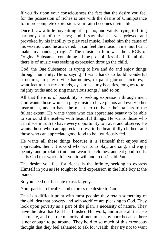If you fix upon your consciousness the fact that the desire you feel for the possession of riches is one with the desire of Omnipotence for more complete expression, your faith becomes invincible.

Once I saw a little boy sitting at a piano, and vainly trying to bring harmony out of the keys; and I saw that he was grieved and provoked by his inability to play real music. I asked him the cause of his vexation, and he answered, "I can feel the music in me, but I can't make my hands go right." The music in him was the URGE of Original Substance, containing all the possibilities of all life; all that there is of music was seeking expression through the child.

God, the One Substance, is trying to live and do and enjoy things through humanity. He is saying "I want hands to build wonderful structures, to play divine harmonies, to paint glorious pictures; I want feet to run my errands, eyes to see my beauties, tongues to tell mighty truths and to sing marvelous songs," and so on.

All that there is of possibility is seeking expression through men. God wants those who can play music to have pianos and every other instrument, and to have the means to cultivate their talents to the fullest extent; He wants those who can appreciate beauty to be able to surround themselves with beautiful things; He wants those who can discern truth to have every opportunity to travel and observe; He wants those who can appreciate dress to be beautifully clothed, and those who can appreciate good food to be luxuriously fed.

He wants all these things because it is Himself that enjoys and appreciates them; it is God who wants to play, and sing, and enjoy beauty, and proclaim truth and wear fine clothes, and eat good foods. "it is God that worketh in you to will and to do," said Paul.

The desire you feel for riches is the infinite, seeking to express Himself in you as He sought to find expression in the little boy at the piano.

So you need not hesitate to ask largely.

Your part is to focalize and express the desire to God.

This is a difficult point with most people; they retain something of the old idea that poverty and self-sacrifice are pleasing to God. They look upon poverty as a part of the plan, a necessity of nature. They have the idea that God has finished His work, and made all that He can make, and that the majority of men must stay poor because there is not enough to go around. They hold to so much of this erroneous thought that they feel ashamed to ask for wealth; they try not to want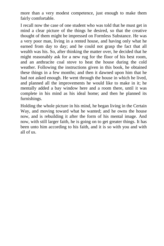more than a very modest competence, just enough to make them fairly comfortable.

I recall now the case of one student who was told that he must get in mind a clear picture of the things he desired, so that the creative thought of them might be impressed on Formless Substance. He was a very poor man, living in a rented house, and having only what he earned from day to day; and he could not grasp the fact that all wealth was his. So, after thinking the matter over, he decided that he might reasonably ask for a new rug for the floor of his best room, and an anthracite coal stove to heat the house during the cold weather. Following the instructions given in this book, he obtained these things in a few months; and then it dawned upon him that he had not asked enough. He went through the house in which he lived, and planned all the improvements he would like to make in it; he mentally added a bay window here and a room there, until it was complete in his mind as his ideal home; and then he planned its furnishings.

Holding the whole picture in his mind, he began living in the Certain Way, and moving toward what he wanted; and he owns the house now, and is rebuilding it after the form of his mental image. And now, with still larger faith, he is going on to get greater things. It has been unto him according to his faith, and it is so with you and with all of us.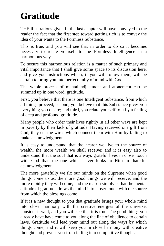#### <span id="page-26-0"></span>**Gratitude**

THE illustrations given in the last chapter will have conveyed to the reader the fact that the first step toward getting rich is to convey the idea of your wants to the Formless Substance.

This is true, and you will see that in order to do so it becomes necessary to relate yourself to the Formless Intelligence in a harmonious way.

To secure this harmonious relation is a matter of such primary and vital importance that I shall give some space to its discussion here, and give you instructions which, if you will follow them, will be certain to bring you into perfect unity of mind with God.

The whole process of mental adjustment and atonement can be summed up in one word, gratitude.

First, you believe that there is one Intelligent Substance, from which all things proceed; second, you believe that this Substance gives you everything you desire; and third, you relate yourself to it by a feeling of deep and profound gratitude.

Many people who order their lives rightly in all other ways are kept in poverty by their lack of gratitude. Having received one gift from God, they cut the wires which connect them with Him by failing to make acknowledgment.

It is easy to understand that the nearer we live to the source of wealth, the more wealth we shall receive; and it is easy also to understand that the soul that is always grateful lives in closer touch with God than the one which never looks to Him in thankful acknowledgment.

The more gratefully we fix our minds on the Supreme when good things come to us, the more good things we will receive, and the more rapidly they will come; and the reason simply is that the mental attitude of gratitude draws the mind into closer touch with the source from which the blessings come.

If it is a new thought to you that gratitude brings your whole mind into closer harmony with the creative energies of the universe, consider it well, and you will see that it is true. The good things you already have have come to you along the line of obedience to certain laws. Gratitude will lead your mind out along the ways by which things come; and it will keep you in close harmony with creative thought and prevent you from falling into competitive thought.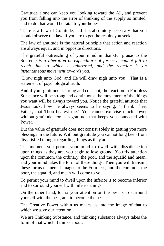Gratitude alone can keep you looking toward the All, and prevent you from falling into the error of thinking of the supply as limited; and to do that would be fatal to your hopes.

There is a Law of Gratitude, and it is absolutely necessary that you should observe the law, if you are to get the results you seek.

The law of gratitude is the natural principle that action and reaction are always equal, and in opposite directions.

The grateful outreaching of your mind in thankful praise to the Supreme *is a liberation or expenditure of force; it cannot fail to reach that to which it addressed, and the reaction is an instantaneous movement towards you.* 

"Draw nigh unto God, and He will draw nigh unto you." That is a statement of psychological truth.

And if your gratitude is strong and constant, the reaction in Formless Substance will be strong and continuous; the movement of the things you want will be always toward you. Notice the grateful attitude that Jesus took; how He always seems to be saying, "I thank Thee, Father, that Thou hearest me." You cannot exercise much power without gratitude; for it is gratitude that keeps you connected with Power.

But the value of gratitude does not consist solely in getting you more blessings in the future. Without gratitude you cannot long keep from dissatisfied thought regarding things as they are.

The moment you permit your mind to dwell with dissatisfaction upon things as they are, you begin to lose ground. You fix attention upon the common, the ordinary, the poor, and the squalid and mean; and your mind takes the form of these things. Then you will transmit these forms or mental images to the Formless, and the common, the poor, the squalid, and mean will come to you.

To permit your mind to dwell upon the inferior is to become inferior and to surround yourself with inferior things.

On the other hand, to fix your attention on the best is to surround yourself with the best, and to become the best.

The Creative Power within us makes us into the image of that to which we give our attention.

We are Thinking Substance, and thinking substance always takes the form of that which it thinks about.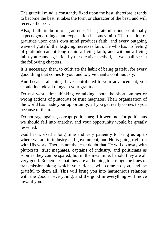The grateful mind is constantly fixed upon the best; therefore it tends to become the best; it takes the form or character of the best, and will receive the best.

Also, faith is born of gratitude. The grateful mind continually expects good things, and expectation becomes faith. The reaction of gratitude upon one's own mind produces faith; and every outgoing wave of grateful thanksgiving increases faith. He who has no feeling of gratitude cannot long retain a living faith; and without a living faith you cannot get rich by the creative method, as we shall see in the following chapters.

It is necessary, then, to cultivate the habit of being grateful for every good thing that comes to you; and to give thanks continuously.

And because all things have contributed to your advancement, you should include all things in your gratitude.

Do not waste time thinking or talking about the shortcomings or wrong actions of plutocrats or trust magnates. Their organization of the world has made your opportunity; all you get really comes to you because of them.

Do not rage against, corrupt politicians; if it were not for politicians we should fall into anarchy, and your opportunity would be greatly lessened.

God has worked a long time and very patiently to bring us up to where we are in industry and government, and He is going right on with His work. There is not the least doubt that He will do away with plutocrats, trust magnates, captains of industry, and politicians as soon as they can be spared; but in the meantime, behold they are all very good. Remember that they are all helping to arrange the lines of transmission along which your riches will come to you, and be grateful to them all. This will bring you into harmonious relations with the good in everything, and the good in everything will move toward you.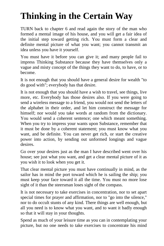### <span id="page-29-0"></span>**Thinking in the Certain Way**

TURN back to chapter 6 and read again the story of the man who formed a mental image of his house, and you will get a fair idea of the initial step toward getting rich. You must form a clear and definite mental picture of what you want; you cannot transmit an idea unless you have it yourself.

You must have it before you can give it; and many people fail to impress Thinking Substance because they have themselves only a vague and misty concept of the things they want to do, to have, or to become.

It is not enough that you should have a general desire for wealth "to do good with"; everybody has that desire.

It is not enough that you should have a wish to travel, see things, live more, etc. Everybody has those desires also. If you were going to send a wireless message to a friend, you would not send the letters of the alphabet in their order, and let him construct the message for himself; nor would you take words at random from the dictionary. You would send a coherent sentence; one which meant something. When you try to impress your wants upon Substance, remember that it must be done by a coherent statement; you must know what you want, and be definite. You can never get rich, or start the creative power into action, by sending out unformed longings and vague desires.

Go over your desires just as the man I have described went over his house; see just what you want, and get a clear mental picture of it as you wish it to look when you get it.

That clear mental picture you must have continually in mind, as the sailor has in mind the port toward which he is sailing the ship; you must keep your face toward it all the time. You must no more lose sight of it than the steersman loses sight of the compass.

It is not necessary to take exercises in concentration, nor to set apart special times for prayer and affirmation, nor to "go into the silence," nor to do occult stunts of any kind. There things are well enough, but all you need is to know what you want, and to want it badly enough so that it will stay in your thoughts.

Spend as much of your leisure time as you can in contemplating your picture, but no one needs to take exercises to concentrate his mind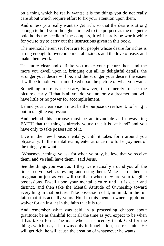on a thing which he really wants; it is the things you do not really care about which require effort to fix your attention upon them.

And unless you really want to get rich, so that the desire is strong enough to hold your thoughts directed to the purpose as the magnetic pole holds the needle of the compass, it will hardly be worth while for you to try to carry out the instructions given in this book.

The methods herein set forth are for people whose desire for riches is strong enough to overcome mental laziness and the love of ease, and make them work.

The more clear and definite you make your picture then, and the more you dwell upon it, bringing out all its delightful details, the stronger your desire will be; and the stronger your desire, the easier it will be to hold your mind fixed upon the picture of what you want.

Something more is necessary, however, than merely to see the picture clearly. If that is all you do, you are only a dreamer, and will have little or no power for accomplishment.

Behind your clear vision must be the purpose to realize it; to bring it out in tangible expression.

And behind this purpose must be an invincible and unwavering FAITH that the thing is already yours; that it is "at hand" and you have only to take possession of it.

Live in the new house, mentally, until it takes form around you physically. In the mental realm, enter at once into full enjoyment of the things you want.

"Whatsoever things ye ask for when ye pray, believe that ye receive them, and ye shall have them," said Jesus.

See the things you want as if they were actually around you all the time; see yourself as owning and using them. Make use of them in imagination just as you will use them when they are your tangible possessions. Dwell upon your mental picture until it is clear and distinct, and then take the Mental Attitude of Ownership toward everything in that picture. Take possession of it, in mind, in the full faith that it is actually yours. Hold to this mental ownership; do not waiver for an instant in the faith that it is real.

And remember what was said in a proceeding chapter about gratitude; be as thankful for it all the time as you expect to be when it has taken form. The man who can sincerely thank God for the things which as yet he owns only in imagination, has real faith. He will get rich; he will cause the creation of whatsoever he wants.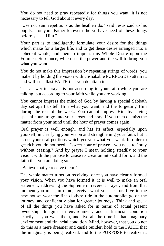You do not need to pray repeatedly for things you want; it is not necessary to tell God about it every day.

"Use not vain repetitions as the heathen do," said Jesus said to his pupils, "for your Father knoweth the ye have need of these things before ye ask Him."

Your part is to intelligently formulate your desire for the things which make for a larger life, and to get these desire arranged into a coherent whole; and then to impress this Whole Desire upon the Formless Substance, which has the power and the will to bring you what you want.

You do not make this impression by repeating strings of words; you make it by holding the vision with unshakable PURPOSE to attain it, and with steadfast FAITH that you do attain it.

The answer to prayer is not according to your faith while you are talking, but according to your faith while you are working.

You cannot impress the mind of God by having a special Sabbath day set apart to tell Him what you want, and the forgetting Him during the rest of the week. You cannot impress Him by having special hours to go into your closet and pray, if you then dismiss the matter from your mind until the hour of prayer comes again.

Oral prayer is well enough, and has its effect, especially upon yourself, in clarifying your vision and strengthening your faith; but it is not your oral petitions which get you what you want. In order to get rich you do not need a "sweet hour of prayer"; you need to "pray without ceasing." And by prayer I mean holding steadily to your vision, with the purpose to cause its creation into solid form, and the faith that you are doing so.

"Believe that ye receive them."

The whole matter turns on receiving, once you have clearly formed your vision. When you have formed it, it is well to make an oral statement, addressing the Supreme in reverent prayer; and from that moment you must, in mind, receive what you ask for. Live in the new house; wear the fine clothes; ride in the automobile; go on the journey, and confidently plan for greater journeys. Think and speak of all the things you have asked for in terms of actual present ownership. Imagine an environment, and a financial condition exactly as you want them, and live all the time in that imaginary environment and financial condition. Mind, however, that you do not do this as a mere dreamer and castle builder; hold to the FAITH that the imaginary is being realized, and to the PURPOSE to realize it.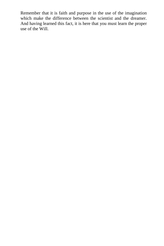Remember that it is faith and purpose in the use of the imagination which make the difference between the scientist and the dreamer. And having learned this fact, it is here that you must learn the proper use of the Will.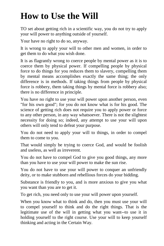## <span id="page-33-0"></span>**How to Use the Will**

TO set about getting rich in a scientific way, you do not try to apply your will power to anything outside of yourself.

Your have no right to do so, anyway.

It is wrong to apply your will to other men and women, in order to get them to do what you wish done.

It is as flagrantly wrong to coerce people by mental power as it is to coerce them by physical power. If compelling people by physical force to do things for you reduces them to slavery, compelling them by mental means accomplishes exactly the same thing; the only difference is in methods. If taking things from people by physical force is robbery, them taking things by mental force is robbery also; there is no difference in principle.

You have no right to use your will power upon another person, even "for his own good"; for you do not know what is for his good. The science of getting rich does not require you to apply power or force to any other person, in any way whatsoever. There is not the slightest necessity for doing so; indeed, any attempt to use your will upon others will only tend to defeat your purpose.

You do not need to apply your will to things, in order to compel them to come to you.

That would simply be trying to coerce God, and would be foolish and useless, as well as irreverent.

You do not have to compel God to give you good things, any more than you have to use your will power to make the sun rise.

You do not have to use your will power to conquer an unfriendly deity, or to make stubborn and rebellious forces do your bidding.

Substance is friendly to you, and is more anxious to give you what you want than you are to get it.

To get rich, you need only to use your will power upon yourself.

When you know what to think and do, then you must use your will to compel yourself to think and do the right things. That is the legitimate use of the will in getting what you want--to use it in holding yourself to the right course. Use your will to keep yourself thinking and acting in the Certain Way.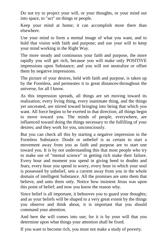Do not try to project your will, or your thoughts, or your mind out into space, to "act" on things or people.

Keep your mind at home; it can accomplish more there than elsewhere.

Use your mind to form a mental image of what you want, and to hold that vision with faith and purpose; and use your will to keep your mind working in the Right Way.

The more steady and continuous your faith and purpose, the more rapidly you will get rich, because you will make only POSITIVE impressions upon Substance; and you will not neutralize or offset them by negative impressions.

The picture of your desires, held with faith and purpose, is taken up by the Formless, and permeates it to great distances-throughout the universe, for all I know.

As this impression spreads, all things are set moving toward its realization; every living thing, every inanimate thing, and the things yet uncreated, are stirred toward bringing into being that which you want. All force begins to be exerted in that direction; all things begin to move toward you. The minds of people, everywhere, are influenced toward doing the things necessary to the fulfilling of your desires; and they work for you, unconsciously.

But you can check all this by starting a negative impression in the Formless Substance. Doubt or unbelief is as certain to start a movement away from you as faith and purpose are to start one toward you. It is by not understanding this that most people who try to make use of "mental science" in getting rich make their failure. Every hour and moment you spend in giving heed to doubts and fears, every hour you spend in worry, every hour in which your soul is possessed by unbelief, sets a current away from you in the whole domain of intelligent Substance. All the promises are unto them that believe, and unto them only. Notice how insistent Jesus was upon this point of belief; and now you know the reason why.

Since belief is all important, it behooves you to guard your thoughts; and as your beliefs will be shaped to a very great extent by the things you observe and think about, it is important that you should command your attention.

And here the will comes into use; for it is by your will that you determine upon what things your attention shall be fixed.

If you want to become rich, you must not make a study of poverty.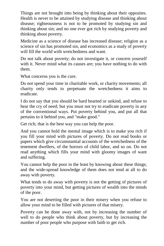Things are not brought into being by thinking about their opposites. Health is never to be attained by studying disease and thinking about disease; righteousness is not to be promoted by studying sin and thinking about sin; and no one ever got rich by studying poverty and thinking about poverty.

Medicine as a science of disease has increased disease; religion as a science of sin has promoted sin, and economics as a study of poverty will fill the world with wretchedness and want.

Do not talk about poverty; do not investigate it, or concern yourself with it. Never mind what its causes are; you have nothing to do with them.

What concerns you is the cure.

Do not spend your time in charitable work, or charity movements; all charity only tends to perpetuate the wretchedness it aims to eradicate.

I do not say that you should be hard hearted or unkind, and refuse to hear the cry of need; but you must not try to eradicate poverty in any of the conventional ways. Put poverty behind you, and put all that pertains to it behind you, and "make good."

Get rich; that is the best way you can help the poor.

And you cannot hold the mental image which is to make you rich if you fill your mind with pictures of poverty. Do not read books or papers which give circumstantial accounts of the wretchedness of the tenement dwellers, of the horrors of child labor, and so on. Do not read anything which fills your mind with gloomy images of want and suffering.

You cannot help the poor in the least by knowing about these things; and the wide-spread knowledge of them does not tend at all to do away with poverty.

What tends to do away with poverty is not the getting of pictures of poverty into your mind, but getting pictures of wealth into the minds of the poor.

You are not deserting the poor in their misery when you refuse to allow your mind to be filled with pictures of that misery.

Poverty can be done away with, not by increasing the number of well to do people who think about poverty, but by increasing the number of poor people who purpose with faith to get rich.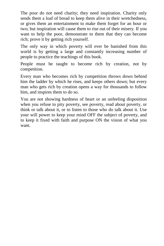The poor do not need charity; they need inspiration. Charity only sends them a loaf of bread to keep them alive in their wretchedness, or gives them an entertainment to make them forget for an hour or two; but inspiration will cause them to rise out of their misery. If you want to help the poor, demonstrate to them that they can become rich; prove it by getting rich yourself.

The only way in which poverty will ever be banished from this world is by getting a large and constantly increasing number of people to practice the teachings of this book.

People must be taught to become rich by creation, not by competition.

Every man who becomes rich by competition throws down behind him the ladder by which he rises, and keeps others down; but every man who gets rich by creation opens a way for thousands to follow him, and inspires them to do so.

You are not showing hardness of heart or an unfeeling disposition when you refuse to pity poverty, see poverty, read about poverty, or think or talk about it, or to listen to those who do talk about it. Use your will power to keep your mind OFF the subject of poverty, and to keep it fixed with faith and purpose ON the vision of what you want.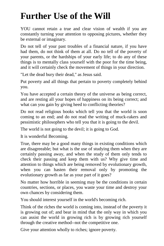#### <span id="page-37-0"></span>**Further Use of the Will**

YOU cannot retain a true and clear vision of wealth if you are constantly turning your attention to opposing pictures, whether they be external or imaginary.

Do not tell of your past troubles of a financial nature, if you have had them, do not think of them at all. Do no tell of the poverty of your parents, or the hardships of your early life; to do any of these things is to mentally class yourself with the poor for the time being, and it will certainly check the movement of things in your direction.

"Let the dead bury their dead," as Jesus said.

Put poverty and all things that pertain to poverty completely behind you.

You have accepted a certain theory of the universe as being correct, and are resting all your hopes of happiness on its being correct; and what can you gain by giving heed to conflicting theories?

Do not read religious books which tell you that the world is soon coming to an end; and do not read the writing of muck-rakers and pessimistic philosophers who tell you that it is going to the devil.

The world is not going to the devil; it is going to God.

It is wonderful Becoming.

True, there may be a good many things in existing conditions which are disagreeable; but what is the use of studying them when they are certainly passing away, and when the study of them only tends to check their passing and keep them with us? Why give time and attention to things which are being removed by evolutionary growth, when you can hasten their removal only by promoting the evolutionary growth as far as your part of it goes?

No matter how horrible in seeming may be the conditions in certain countries, sections, or places, you waste your time and destroy your own chances by considering them.

You should interest yourself in the world's becoming rich.

Think of the riches the world is coming into, instead of the poverty it is growing out of; and bear in mind that the only way in which you can assist the world in growing rich is by growing rich yourself through the creative method--not the competitive one.

Give your attention wholly to riches; ignore poverty.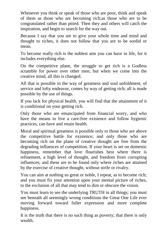Whenever you think or speak of those who are poor, think and speak of them as those who are becoming rich;as those who are to be congratulated rather than pitied. Then they and others will catch the inspiration, and begin to search for the way out.

Because I say that you are to give your whole time and mind and thought to riches, it does not follow that you are to be sordid or mean.

To become really rich is the noblest aim you can have in life, for it includes everything else.

On the competitive plane, the struggle to get rich is a Godless scramble for power over other men; but when we come into the creative mind, all this is changed.

All that is possible in the way of greatness and soul unfoldment, of service and lofty endeavor, comes by way of getting rich; all is made possible by the use of things.

If you lack for physical health, you will find that the attainment of it is conditional on your getting rich.

Only those who are emancipated from financial worry, and who have the means to live a care-free existence and follow hygienic practices, can have and retain health.

Moral and spiritual greatness is possible only to those who are above the competitive battle for existence; and only those who are becoming rich on the plane of creative thought are free from the degrading influences of competition. If your heart is set on domestic happiness, remember that love flourishes best where there is refinement, a high level of thought, and freedom from corrupting influences; and these are to be found only where riches are attained by the exercise of creative thought, without strife or rivalry.

You can aim at nothing so great or noble, I repeat, as to become rich; and you must fix your attention upon your mental picture of riches, to the exclusion of all that may tend to dim or obscure the vision.

You must learn to see the underlying TRUTH in all things; you must see beneath all seemingly wrong conditions the Great One Life ever moving forward toward fuller expression and more complete happiness.

It is the truth that there is no such thing as poverty; that there is only wealth.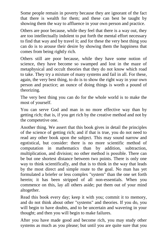Some people remain in poverty because they are ignorant of the fact that there is wealth for them; and these can best be taught by showing them the way to affluence in your own person and practice.

Others are poor because, while they feel that there is a way out, they are too intellectually indolent to put forth the mental effort necessary to find that way and by travel it; and for these the very best thing you can do is to arouse their desire by showing them the happiness that comes from being rightly rich.

Others still are poor because, while they have some notion of science, they have become so swamped and lost in the maze of metaphysical and occult theories that they do not know which road to take. They try a mixture of many systems and fail in all. For these, again, the very best thing, to do is to show the right way in your own person and practice; an ounce of doing things is worth a pound of theorizing.

The very best thing you can do for the whole world is to make the most of yourself.

You can serve God and man in no more effective way than by getting rich; that is, if you get rich by the creative method and not by the competetive one.

Another thing. We assert that this book gives in detail the principles of the science of getting rich; and if that is true, you do not need to read any other book upon the subject. This may sound narrow and egotistical, but consider: there is no more scientific method of computation in mathematics than by addition, subtraction, multiplication, and division; no other method is possible. There can be but one shortest distance between two points. There is only one way to think scientifically, and that is to think in the way that leads by the most direct and simple route to the goal. No man has yet formulated a briefer or less complex "system" than the one set forth herein; it has been stripped of all non-essentials. When you commence on this, lay all others aside; put them out of your mind altogether.

Read this book every day; keep it with you; commit it to memory, and do not think about other "systems" and theories. If you do, you will begin to have doubts, and to be uncertain and wavering in your thought; and then you will begin to make failures.

After you have made good and become rich, you may study other systems as much as you please; but until you are quite sure that you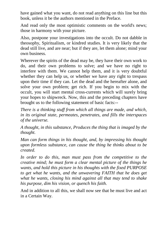have gained what you want, do not read anything on this line but this book, unless it be the authors mentioned in the Preface.

And read only the most optimistic comments on the world's news; those in harmony with your picture.

Also, postpone your investigations into the occult. Do not dabble in theosophy, Spiritualism, or kindred studies. It is very likely that the dead still live, and are near; but if they are, let them alone; mind your own business.

Wherever the spirits of the dead may be, they have their own work to do, and their own problems to solve; and we have no right to interfere with them. We cannot help them, and it is very doubtful whether they can help us, or whether we have any right to trespass upon their time if they can. Let the dead and the hereafter alone, and solve your own problem; get rich. If you begin to mix with the occult, you will start mental cross-currents which will surely bring your hopes to shipwreck. Now, this and the preceding chapters have brought us to the following statement of basic facts:--

*There is a thinking stuff from which all things are made, and which, in its original state, permeates, penetrates, and fills the interspaces of the universe.* 

*A thought, in this substance, Produces the thing that is imaged by the thought.* 

*Man can form things in his thought, and, by impressing his thought upon formless substance, can cause the thing he thinks about to be created.* 

*In order to do this, man must pass from the competitive to the creative mind; he must form a clear mental picture of the things he wants, and hold this picture in his thoughts with the fixed PURPOSE to get what he wants, and the unwavering FAITH that he does get what he wants, closing his mind against all that may tend to shake his purpose, dim his vision, or quench his faith.* 

And in addition to all this, we shall now see that he must live and act in a Certain Way.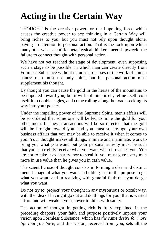## <span id="page-41-0"></span>**Acting in the Certain Way**

THOUGHT is the creative power, or the impelling force which causes the creative power to act; thinking in a Certain Way will bring riches to you, but you must not rely upon thought alone, paying no attention to personal action. That is the rock upon which many otherwise scientific metaphysical thinkers meet shipwreck--the failure to connect thought with personal action.

We have not yet reached the stage of development, even supposing such a stage to be possible, in which man can create directly from Formless Substance without nature's processes or the work of human hands; man must not only think, but his personal action must supplement his thought.

By thought you can cause the gold in the hearts of the mountains to be impelled toward you; but it will not mine itself, refine itself, coin itself into double eagles, and come rolling along the roads seeking its way into your pocket.

Under the impelling power of the Supreme Spirit, men's affairs will be so ordered that some one will be led to mine the gold for you; other men's business transactions will be so directed that the gold will be brought toward you, and you must so arrange your own business affairs that you may be able to receive it when it comes to you. Your thought makes all things, animate and inanimate, work to bring you what you want; but your personal activity must be such that you can rightly receive what you want when it reaches you. You are not to take it as charity, nor to steal it; you must give every man more in use value than he gives you in cash value.

The scientific use of thought consists in forming a clear and distinct mental image of what you want; in holding fast to the purpose to get what you want; and in realizing with grateful faith that you do get what you want.

Do not try to 'project' your thought in any mysterious or occult way, with the idea of having it go out and do things for you; that is wasted effort, and will weaken your power to think with sanity.

The action of thought in getting rich is fully explained in the preceding chapters; your faith and purpose positively impress your vision upon Formless Substance, which has *the same desire for more life that you have*; and this vision, received from you, sets all the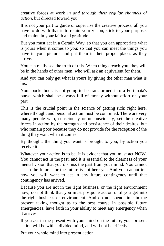creative forces at work *in and through their regular channels of action*, but directed toward you.

It is not your part to guide or supervise the creative process; all you have to do with that is to retain your vision, stick to your purpose, and maintain your faith and gratitude.

But you must act in a Certain Way, so that you can appropriate what is yours when it comes to you; so that you can meet the things you have in your picture, and put them in their proper places as they arrive.

You can really see the truth of this. When things reach you, they will be in the hands of other men, who will ask an equivalent for them.

And you can only get what is yours by giving the other man what is his.

Your pocketbook is not going to be transformed into a Fortunata's purse, which shall be always full of money without effort on your part.

This is the crucial point in the science of getting rich; right here, where thought and personal action must be combined. There are very many people who, consciously or unconsciously, set the creative forces in action by the strength and persistence of their desires, but who remain poor because they do not provide for the reception of the thing they want when it comes.

By thought, the thing you want is brought to you; by action you receive it.

Whatever your action is to be, it is evident that you must act NOW. You cannot act in the past, and it is essential to the clearness of your mental vision that you dismiss the past from your mind. You cannot act in the future, for the future is not here yet. And you cannot tell how you will want to act in any future contingency until that contingency has arrived.

Because you are not in the right business, or the right environment now, do not think that you must postpone action until you get into the right business or environment. And do not spend time in the present taking thought as to the best course in possible future emergencies; have faith in your ability to meet any emergency when it arrives.

If you act in the present with your mind on the future, your present action will be with a divided mind, and will not be effective.

Put your whole mind into present action.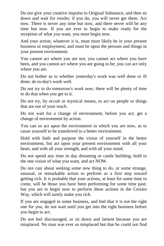Do not give your creative impulse to Original Substance, and then sit down and wait for results; if you do, you will never get them. Act now. There is never any time but now, and there never will be any time but now. If you are ever to begin to make ready for the reception of what you want, you must begin now.

And your action, whatever it is, must most likely be in your present business or employment, and must be upon the persons and things in your present environment.

You cannot act where you are not; you cannot act where you have been, and you cannot act where you are going to be; you can act only where you are.

Do not bother as to whether yesterday's work was well done or ill done; do to-day's work well.

Do not try to do tomorrow's work now; there will be plenty of time to do that when you get to it.

Do not try, by occult or mystical means, to act on people or things that are out of your reach.

Do not wait for a change of environment, before you act; get a change of environment by action.

You can so act upon the environment in which you are now, as to cause yourself to be transferred to a better environment.

Hold with faith and purpose the vision of yourself in the better environment, but act upon your present environment with all your heart, and with all your strength, and with all your mind.

Do not spend any time in day dreaming or castle building; hold to the one vision of what you want, and act NOW.

Do not cast about seeking some new thing to do, or some strange, unusual, or remarkable action to perform as a first step toward getting rich. It is probable that your actions, at least for some time to come, will be those you have been performing for some time past; but you are to begin now to perform these actions in the Certain Way, which will surely make you rich.

If you are engaged in some business, and feel that it is not the right one for you, do not wait until you get into the right business before you begin to act.

Do not feel discouraged, or sit down and lament because you are misplaced. No man was ever so misplaced but that he could not find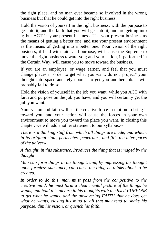the right place, and no man ever became so involved in the wrong business but that he could get into the right business.

Hold the vision of yourself in the right business, with the purpose to get into it, and the faith that you will get into it, and are getting into it; but ACT in your present business. Use your present business as the means of getting a better one, and use your present enviornment as the means of getting into a better one. Your vision of the right business, if held with faith and purpose, will cause the Supreme to move the right business toward you; and your action, if performed in the Certain Way, will cause you to move toward the business.

If you are an employee, or wage earner, and feel that you must change places in order to get what you want, do not 'project" your thought into space and rely upon it to get you another job. It will probably fail to do so.

Hold the vision of yourself in the job you want, while you ACT with faith and purpose on the job you have, and you will certainly get the job you want.

Your vision and faith will set the creative force in motion to bring it toward you, and your action will cause the forces in your own environment to move you toward the place you want. In closing this chapter, we will add another statement to our syllabus:--

*There is a thinking stuff from which all things are made, and which, in its original state, permeates, penetrates, and fills the interspaces of the universe.* 

*A thought, in this substance, Produces the thing that is imaged by the thought.* 

*Man can form things in his thought, and, by impressing his thought upon formless substance, can cause the thing he thinks about to be created.* 

*In order to do this, man must pass from the competitive to the creative mind; he must form a clear mental picture of the things he wants, and hold this picture in his thoughts with the fixed PURPOSE to get what he wants, and the unwavering FAITH that he does get what he wants, closing his mind to all that may tend to shake his purpose, dim his vision, or quench his faith.*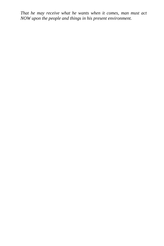*That he may receive what he wants when it comes, man must act NOW upon the people and things in his present environment.*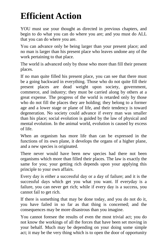#### <span id="page-46-0"></span>**Efficient Action**

YOU must use your thought as directed in previous chapters, and begin to do what you can do where you are; and you must do ALL that you can do where you are.

You can advance only be being larger than your present place; and no man is larger than his present place who leaves undone any of the work pertaining to that place.

The world is advanced only by those who more than fill their present places.

If no man quite filled his present place, you can see that there must be a going backward in everything. Those who do not quite fill their present places are dead weight upon society, government, commerce, and industry; they must be carried along by others at a great expense. The progress of the world is retarded only by those who do not fill the places they are holding; they belong to a former age and a lower stage or plane of life, and their tendency is toward degeneration. No society could advance if every man was smaller than his place; social evolution is guided by the law of physical and mental evolution. In the animal world, evolution is caused by excess of life.

When an organism has more life than can be expressed in the functions of its own plane, it develops the organs of a higher plane, and a new species is originated.

There never would have been new species had there not been organisms which more than filled their places. The law is exactly the same for you; your getting rich depends upon your applying this principle to your own affairs.

Every day is either a successful day or a day of failure; and it is the successful days which get you what you want. If everyday is a failure, you can never get rich; while if every day is a success, you cannot fail to get rich.

If there is something that may be done today, and you do not do it, you have failed in so far as that thing is concerned; and the consequences may be more disastrous than you imagine.

You cannot foresee the results of even the most trivial act; you do not know the workings of all the forces that have been set moving in your behalf. Much may be depending on your doing some simple act; it may be the very thing which is to open the door of opportunity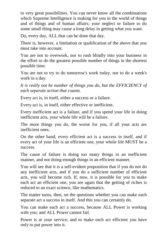to very great possibilities. You can never know all the combinations which Supreme Intelligence is making for you in the world of things and of things and of human affairs; your neglect or failure to do some small thing may cause a long delay in getting what you want.

Do, every day, ALL that can be done that day.

There is, however, a limitation or qualification of the above that you must take into account.

You are not to overwork, nor to rush blindly into your business in the effort to do the greatest possible number of things in the shortest possible time.

You are not to try to do tomorrow's work today, nor to do a week's work in a day.

*It is really not he number of things you do, but the EFFICIENCY of each separate action that counts.* 

Every act is, in itself, either a success or a failure.

Every act is, in itself, either effective or inefficient.

Every inefficient act is a failure, and if you spend your life in doing inefficient acts, your whole life will be a failure.

The more things you do, the worse for you, if all your acts are inefficient ones.

On the other hand, every efficient act is a success in itself, and if every act of your life is an efficient one, your whole life MUST be a success.

The cause of failure is doing too many things in an inefficient manner, and not doing enough things in an efficient manner.

You will see that it is a self-evident proposition that if you do not do any inefficient acts, and if you do a sufficient number of efficient acts, you will become rich. If, now, it is possible for you to make each act an efficient one, you see again that the getting of riches is reduced to an exact science, like mathematics.

The matter turns, then, on the questions whether you can make each separate act a success in itself. And this you can certainly do.

You can make each act a success, because ALL Power is working with you; and ALL Power cannot fail.

Power is at your service; and to make each act efficient you have only to put power into it.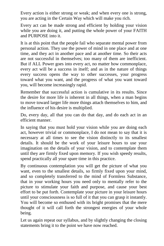Every action is either strong or weak; and when every one is strong, you are acting in the Certain Way which will make you rich.

Every act can be made strong and efficient by holding your vision while you are doing it, and putting the whole power of your FAITH and PURPOSE into it.

It is at this point that the people fail who separate mental power from personal action. They use the power of mind in one place and at one time, and they act in another pace and at another time. So their acts are not successful in themselves; too many of them are inefficient. But if ALL Power goes into every act, no matter how commonplace, every act will be a success in itself; and as in the nature of things every success opens the way to other successes, your progress toward what you want, and the progress of what you want toward you, will become increasingly rapid.

Remember that successful action is cumulative in its results. Since the desire for more life is inherent in all things, when a man begins to move toward larger life more things attach themselves to him, and the influence of his desire is multiplied.

Do, every day, all that you can do that day, and do each act in an efficient manner.

In saying that you must hold your vision while you are doing each act, however trivial or commonplace, I do not mean to say that it is necessary at all times to see the vision distinctly to its smallest details. It should be the work of your leisure hours to use your imagination on the details of your vision, and to contemplate them until they are firmly fixed upon memory. If you wish speedy results, spend practically all your spare time in this practice.

By continuous contemplation you will get the picture of what you want, even to the smallest details, so firmly fixed upon your mind, and so completely transferred to the mind of Formless Substance, that in your working hours you need only to mentally refer to the picture to stimulate your faith and purpose, and cause your best effort to be put forth. Contemplate your picture in your leisure hours until your consciousness is so full of it that you can grasp it instantly. You will become so enthused with its bright promises that the mere thought of it will call forth the strongest energies of your whole being.

Let us again repeat our syllabus, and by slightly changing the closing statements bring it to the point we have now reached.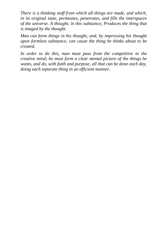*There is a thinking stuff from which all things are made, and which, in its original state, permeates, penetrates, and fills the interspaces of the universe. A thought, in this substance, Produces the thing that is imaged by the thought.* 

*Man can form things in his thought, and, by impressing his thought upon formless substance, can cause the thing he thinks about to be created.* 

*In order to do this, man must pass from the competitive to the creative mind; he must form a clear mental picture of the things he wants, and do, with faith and purpose, all that can be done each day, doing each separate thing in an efficient manner.*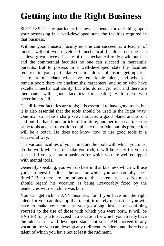## <span id="page-50-0"></span>**Getting into the Right Business**

SUCCESS, in any particular business, depends for one thing upon your possessing in a well-developed state the faculties required in that business.

Without good musical faculty no one can succeed as a teacher of music; without well-developed mechanical faculties no one can achieve great success in any of the mechanical trades; without tact and the commercial faculties no one can succeed in mercantile pursuits. But to possess in a well-developed state the faculties required in your particular vocation does not insure getting rich. There are musicians who have remarkable talent, and who yet remain poor; there are blacksmiths, carpenters, and so on who have excellent mechanical ability, but who do not get rich; and there are merchants with good faculties for dealing with men who nevertheless fail.

The different faculties are tools; it is essential to have good tools, but it is also essential that the tools should be used in the Right Way. One man can take a sharp saw, a square, a good plane, and so on, and build a handsome article of furniture; another man can take the same tools and set to work to duplicate the article, but his production will be a botch. He does not know how to use good tools in a successful way.

The various faculties of your mind are the tools with which you must do the work which is to make you rich; it will be easier for you to succeed if you get into a business for which you are well equipped with mental tools.

Generally speaking, you will do best in that business which will use your strongest faculties; the one for which you are naturally "best fitted." But there are limitations to this statement, also. No man should regard his vocation as being irrevocably fixed by the tendencies with which he was born.

You can get rich in ANY business, for if you have not the right talent for you can develop that talent; it merely means that you will have to make your tools as you go along, instead of confining yourself to the use of those with which you were born. It will be EASIER for you to succeed in a vocation for which you already have the talents in a well-developed state; but you CAN succeed in any vocation, for you can develop any rudimentary talent, and there is no talent of which you have not at least the rudiment.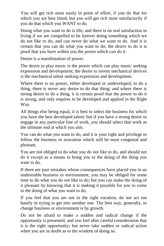You will get rich most easily in point of effort, if you do that for which you are best fitted; but you will get rich most satisfactorily if you do that which you WANT to do.

Doing what you want to do is life; and there is no real satisfaction in living if we are compelled to be forever doing something which we do not like to do, and can never do what we want to do. And it is certain that you can do what you want to do; the *desire* to do it is proof that you have within you the power which *can* do it.

Desire is a manifestation of power.

The desire to play music is the power which can play music seeking expression and development; the desire to invent mechanical devices is the mechanical talent seeking expression and development.

Where there is no power, either developed or undeveloped, to do a thing, there is never any desire to do that thing; and where there is strong desire to do a thing, it is certain proof that the power to do it is strong, and only requires to be developed and applied in the Right Way.

All things else being equal, it is best to select the business for which you have the best developed talent; but if you have a strong desire to engage in any particular line of work, you should select that work as the ultimate end at which you aim.

You can do what you want to do, and it is your right and privilege to follow the business or avocation which will be most congenial and pleasant.

You are not obliged to do what you do not like to do, and should not do it except as a means to bring you to the doing of the thing you want to do.

If there are past mistakes whose consequences have placed you in an undesirable business or environment, you may be obliged for some time to do what you do not like to do; but you can make the doing of it pleasant by knowing that it is making it possible for you to come to the doing of what you want to do.

If you feel that you are not in the right vocation, do not act too hastily in trying to get into another one. The best way, generally, to change business or environment is by growth.

Do not be afraid to make a sudden and radical change if the opportunity is presented, and you feel after careful consideration that it is the right opportunity; but never take sudden or radical action when you are in doubt as to the wisdom of doing so.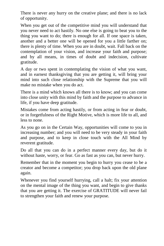There is never any hurry on the creative plane; and there is no lack of opportunity.

When you get out of the competitive mind you will understand that you never need to act hastily. No one else is going to beat you to the thing you want to do; there is enough for all. If one space is taken, another and a better one will be opened for you a little farther on; there is plenty of time. When you are in doubt, wait. Fall back on the contemplation of your vision, and increase your faith and purpose; and by all means, in times of doubt and indecision, cultivate gratitude.

A day or two spent in contemplating the vision of what you want, and in earnest thanksgiving that you are getting it, will bring your mind into such close relationship with the Supreme that you will make no mistake when you do act.

There is a mind which knows all there is to know; and you can come into close unity with this mind by faith and the purpose to advance in life, if you have deep gratitude.

Mistakes come from acting hastily, or from acting in fear or doubt, or in forgetfulness of the Right Motive, which is more life to all, and less to none.

As you go on in the Certain Way, opportunities will come to you in increasing number; and you will need to be very steady in your faith and purpose, and to keep in close touch with the All Mind by reverent gratitude.

Do all that you can do in a perfect manner every day, but do it without haste, worry, or fear. Go as fast as you can, but never hurry.

Remember that in the moment you begin to hurry you cease to be a creator and become a competitor; you drop back upon the old plane again.

Whenever you find yourself hurrying, call a halt; fix your attention on the mental image of the thing you want, and begin to give thanks that you are getting it. The exercise of GRATITUDE will never fail to strengthen your faith and renew your purpose.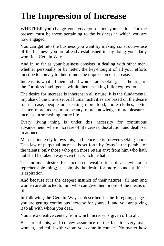## <span id="page-53-0"></span>**The Impression of Increase**

WHETHER you change your vocation or not, your actions for the present must be those pertaining to the business in which you are now engaged.

You can get into the business you want by making constructive use of the business you are already established in; by doing your daily work in a Certain Way.

And in so far as your business consists in dealing with other men, whether personally or by letter, the key-thought of all your efforts must be to convey to their minds the impression of increase.

Increase is what all men and all women are seeking; it is the urge of the Formless Intelligence within them, seeking fuller expression.

The desire for increase is inherent in all nature; it is the fundamental impulse of the universe. All human activities are based on the desire for increase; people are seeking more food, more clothes, better shelter, more luxury, more beauty, more knowledge, more pleasure- increase in something, more life.

Every living thing is under this necessity for continuous advancement; where increase of life ceases, dissolution and death set in at once.

Man instinctively knows this, and hence he is forever seeking more. This law of perpetual increase is set forth by Jesus in the parable of the talents; only those who gain more retain any; from him who hath not shall be taken away even that which he hath.

The normal desire for increased wealth is not an evil or a reprehensible thing; it is simply the desire for more abundant life; it is aspiration.

And because it is the deepest instinct of their natures, all men and women are attracted to him who can give them more of the means of life.

In following the Certain Way as described in the foregoing pages, you are getting continuous increase for yourself, and you are giving it to all with whom you deal.

You are a creative center, from which increase is given off to all.

Be sure of this, and convey assurance of the fact to every man, woman, and child with whom you come in contact. No matter how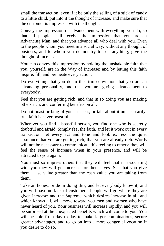small the transaction, even if it be only the selling of a stick of candy to a little child, put into it the thought of increase, and make sure that the customer is impressed with the thought.

Convey the impression of advancement with everything you do, so that all people shall receive the impression that you are an Advancing Man, and that you advance all who deal with you. Even to the people whom you meet in a social way, without any thought of business, and to whom you do not try to sell anything, give the thought of increase.

You can convey this impression by holding the unshakable faith that you, yourself, are in the Way of Increase; and by letting this faith inspire, fill, and permeate every action.

Do everything that you do in the firm conviction that you are an advancing personality, and that you are giving advancement to everybody.

Feel that you are getting rich, and that in so doing you are making others rich, and conferring benefits on all.

Do not boast or brag of your success, or talk about it unnecessarily; true faith is never boastful.

Wherever you find a boastful person, you find one who is secretly doubtful and afraid. Simply feel the faith, and let it work out in every transaction; let every act and tone and look express the quiet assurance that you are getting rich; that you are already rich. Words will not be necessary to communicate this feeling to others; they will feel the sense of increase when in your presence, and will be attracted to you again.

You must so impress others that they will feel that in associating with you they will get increase for themselves. See that you give them a use value greater than the cash value you are taking from them.

Take an honest pride in doing this, and let everybody know it; and you will have no lack of customers. People will go where they are given increase; and the Supreme, which desires increase in all, and which knows all, will move toward you men and women who have never heard of you. Your business will increase rapidly, and you will be surprised at the unexpected benefits which will come to you. You will be able from day to day to make larger combinations, secure greater advantages, and to go on into a more congenial vocation if you desire to do so.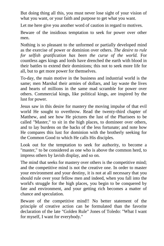But doing thing all this, you must never lose sight of your vision of what you want, or your faith and purpose to get what you want.

Let me here give you another word of caution in regard to motives.

Beware of the insidious temptation to seek for power over other men.

Nothing is so pleasant to the unformed or partially developed mind as the exercise of power or dominion over others. *The desire to rule*  for selfish gratification has been the curse of the world. For countless ages kings and lords have drenched the earth with blood in their battles to extend their dominions; this not to seek more life for all, but to get more power for themselves.

To-day, the main motive in the business and industrial world is the same; men Marshal their armies of dollars, and lay waste the lives and hearts of millions in the same mad scramble for power over others. Commercial kings, like political kings, are inspired by the lust for power.

Jesus saw in this desire for mastery the moving impulse of that evil world He sought to overthrow. Read the twenty-third chapter of Matthew, and see how He pictures the lust of the Pharisees to be called "Master," to sit in the high places, to domineer over others, and to lay burdens on the backs of the less fortunate; and note how He compares this lust for dominion with the brotherly seeking for the Common Good to which He calls His disciples.

Look out for the temptation to seek for authority, to become a "master," to be considered as one who is above the common herd, to impress others by lavish display, and so on.

The mind that seeks for mastery over others is the competitive mind; and the competitive mind is not the creative one. In order to master your environment and your destiny, it is not at all necessary that you should rule over your fellow men and indeed, when you fall into the world's struggle for the high places, you begin to be conquered by fate and environment, and your getting rich becomes a matter of chance and speculation.

Beware of the competitive mind!! No better statement of the principle of creative action can be formulated than the favorite declaration of the late "Golden Rule" Jones of Toledo: "What I want for myself, I want for everybody."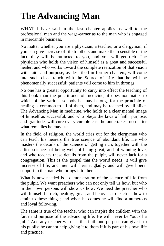## <span id="page-56-0"></span>**The Advancing Man**

WHAT I have said in the last chapter applies as well to the professional man and the wage-earner as to the man who is engaged in mercantile business.

No matter whether you are a physician, a teacher, or a clergyman, if you can give increase of life to others and make them sensible of the fact, they will be attracted to you, and you will get rich. The physician who holds the vision of himself as a great and successful healer, and who works toward the complete realization of that vision with faith and purpose, as described in former chapters, will come into such close touch with the Source of Life that he will be phenomenally successful; patients will come to him in throngs.

No one has a greater opportunity to carry into effect the teaching of this book than the practitioner of medicine; it does not matter to which of the various schools he may belong, for the principle of healing is common to all of them, and may be reached by all alike. The Advancing Man in medicine, who holds to a clear mental image of himself as successful, and who obeys the laws of faith, purpose, and gratitude, will cure every curable case he undertakes, no matter what remedies he may use.

In the field of religion, the world cries out for the clergyman who can teach his hearers the true science of abundant life. He who masters the details of the science of getting rich, together with the allied sciences of being well, of being great, and of winning love, and who teaches these details from the pulpit, will never lack for a congregation. This is the gospel that the world needs; it will give increase of life, and men will hear it gladly, and will give liberal support to the man who brings it to them.

What is now needed is a demonstration of the science of life from the pulpit. We want preachers who can not only tell us how, but who in their own persons will show us how. We need the preacher who will himself be rich, healthy, great, and beloved, to teach us how to attain to these things; and when he comes he will find a numerous and loyal following.

The same is true of the teacher who can inspire the children with the faith and purpose of the advancing life. He will never be "out of a job." And any teacher who has this faith and purpose can give it to his pupils; he cannot help giving it to them if it is part of his own life and practice.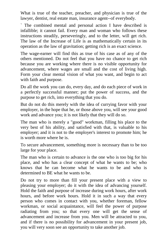What is true of the teacher, preacher, and physician is true of the lawyer, dentist, real estate man, insurance agent--of everybody.

` The combined mental and personal action I have described is infallible; it cannot fail. Every man and woman who follows these instructions steadily, perseveringly, and to the letter, will get rich. The law of the Increase of Life is as mathematically certain in its operation as the law of gravitation; getting rich is an exact science.

The wage-earner will find this as true of his case as of any of the others mentioned. Do not feel that you have no chance to get rich because you are working where there is no visible opportunity for advancement, where wages are small and the cost of living high. Form your clear mental vision of what you want, and begin to act with faith and purpose.

Do all the work you can do, every day, and do each piece of work in a perfectly successful manner; put the power of success, and the purpose to get rich, into everything that you do.

But do not do this merely with the idea of currying favor with your employer, in the hope that he, or those above you, will see your good work and advance you; it is not likely that they will do so.

The man who is merely a "good" workman, filling his place to the very best of his ability, and satisfied with that, is valuable to his employer; and it is not to the employer's interest to promote him; he is worth more where he is.

To secure advancement, something more is necessary than to be too large for your place.

The man who is certain to advance is the one who is too big for his place, and who has a clear concept of what he wants to be; who knows that he can become what he wants to be and who is determined to BE what he wants to be.

Do not try to more than fill your present place with a view to pleasing your employer; do it with the idea of advancing yourself. Hold the faith and purpose of increase during work hours, after work hours, and before work hours. Hold it in such a way that every person who comes in contact with you, whether foreman, fellow workman, or social acquaintance, will feel the power of purpose radiating from you; so that every one will get the sense of advancement and increase from you. Men will be attracted to you, and if there is no possibility for advancement in your present job, you will very soon see an opportunity to take another job.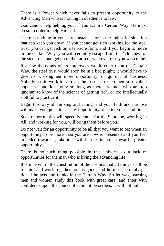There is a Power which never fails to present opportunity to the Advancing Man who is moving in obedience to law.

God cannot help helping you, if you act in a Certain Way; He must do so in order to help Himself.

There is nothing in your circumstances or in the industrial situation that can keep you down. If you cannot get rich working for the steel trust, you can get rich on a ten-acre farm; and if you begin to move in the Certain Way, you will certainly escape from the "clutches" of the steel trust and get on to the farm or wherever else you wish to be.

If a few thousands of its employees would enter upon the Certain Way, the steel trust would soon be in a bad plight; it would have to give its workingmen more opportunity, or go out of business. Nobody has to work for a trust; the trusts can keep men in so called hopeless conditions only so long as there are men who are too ignorant to know of the science of getting rich, or too intellectually slothful to practice it.

Begin this way of thinking and acting, and your faith and purpose will make you quick to see any opportunity to better your condition.

Such opportunities will speedily come, for the Supreme, working in All, and working for you, will bring them before you.

Do not wait for an opportunity to be all that you want to be; when an opportunity to be more than you are now is presented and you feel impelled toward it, take it. It will be the first step toward a greater opportunity.

There is no such thing possible in this universe as a lack of opportunities for the man who is living the advancing life.

It is inherent in the constitution of the cosmos that all things shall be for him and work together for his good; and he must certainly get rich if he acts and thinks in the Certain Way. So let wage-earning men and women study this book with great care, and enter with confidence upon the course of action it prescribes; it will not fail.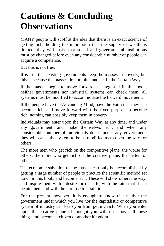#### <span id="page-59-0"></span>**Cautions & Concluding Observations**

MANY people will scoff at the idea that there is an exact science of getting rich; holding the impression that the supply of wealth is limited, they will insist that social and governmental institutions must be changed before even any considerable number of people can acquire a competence.

But this is not true.

It is true that existing governments keep the masses in poverty, but this is because the masses do not think and act in the Certain Way.

If the masses begin to move forward as suggested in this book, neither governments nor industrial systems can check them; all systems must be modified to accommodate the forward movement.

If the people have the Advancing Mind, have the Faith that they can become rich, and move forward with the fixed purpose to become rich, nothing can possibly keep them in poverty.

Individuals may enter upon the Certain Way at any time, and under any government, and make themselves rich; and when any considerable number of individuals do so under any government, they will cause the system to be so modified as to open the way for others.

The more men who get rich on the competitive plane, the worse for others; the more who get rich on the creative plane, the better for others.

The economic salvation of the masses can only be accomplished by getting a large number of people to practice the scientific method set down in this book, and become rich. These will show others the way, and inspire them with a desire for real life, with the faith that it can be attained, and with the purpose to attain it.

For the present, however, it is enough to know that neither the government under which you live nor the capitalistic or competitive system of industry can keep you from getting rich. When you enter upon the creative plane of thought you will rise above all these things and become a citizen of another kingdom.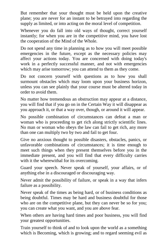But remember that your thought must be held upon the creative plane; you are never for an instant to be betrayed into regarding the supply as limited, or into acting on the moral level of competition.

Whenever you do fall into old ways of thought, correct yourself instantly; for when you are in the competitive mind, you have lost the cooperation of the Mind of the Whole.

Do not spend any time in planning as to how you will meet possible emergencies in the future, except as the necessary policies may affect your actions today. You are concerned with doing today's work in a perfectly successful manner, and not with emergencies which may arise tomorrow; you can attend to them as they come.

Do not concern yourself with questions as to how you shall surmount obstacles which may loom upon your business horizon, unless you can see plainly that your course must be altered today in order to avoid them.

No matter how tremendous an obstruction may appear at a distance, you will find that if you go on in the Certain Way it will disappear as you approach it, or that a way over, though, or around it will appear.

No possible combination of circumstances can defeat a man or woman who is proceeding to get rich along strictly scientific lines. No man or woman who obeys the law can fail to get rich, any more than one can multiply two by two and fail to get four.

Give no anxious thought to possible disasters, obstacles, panics, or unfavorable combinations of circumstances; it is time enough to meet such things when they present themselves before you in the immediate present, and you will find that every difficulty carries with it the wherewithal for its overcoming.

Guard your speech. Never speak of yourself, your affairs, or of anything else in a discouraged or discouraging way.

Never admit the possibility of failure, or speak in a way that infers failure as a possibility.

Never speak of the times as being hard, or of business conditions as being doubtful. Times may be hard and business doubtful for those who are on the competitive plane, but they can never be so for you; you can create what you want, and you are above fear.

When others are having hard times and poor business, you will find your greatest opportunities.

Train yourself to think of and to look upon the world as a something which is Becoming, which is growing; and to regard seeming evil as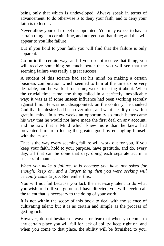being only that which is undeveloped. Always speak in terms of advancement; to do otherwise is to deny your faith, and to deny your faith is to lose it.

Never allow yourself to feel disappointed. You may expect to have a certain thing at a certain time, and not get it at that time; and this will appear to you like failure.

But if you hold to your faith you will find that the failure is only apparent.

Go on in the certain way, and if you do not receive that thing, you will receive something so much better that you will see that the seeming failure was really a great success.

A student of this science had set his mind on making a certain business combination which seemed to him at the time to be very desirable, and he worked for some, weeks to bring it about. When the crucial time came, the thing failed in a perfectly inexplicable way; it was as if some unseen influence had been working secretly against him. He was not disappointed; on the contrary, he thanked God that his desire had been overruled, and went steadily on with a grateful mind. In a few weeks an opportunity so much better came his way that he would not have made the first deal on any account; and he saw that a Mind which knew more than he knew had prevented him from losing the greater good by entangling himself with the lesser.

That is the way every seeming failure will work out for you, if you keep your faith, hold to your purpose, have gratitude, and do, every day, all that can be done that day, doing each separate act in a successful manner.

*When you make a failure, it is because you have not asked for enough; keep on, and a larger thing then you were seeking will certainly come to you.* Remember this.

You will not fail because you lack the necessary talent to do what you wish to do. If you go on as I have directed, you will develop all the talent that is necessary to the doing of your work.

It is not within the scope of this book to deal with the science of cultivating talent; but it is as certain and simple as the process of getting rich.

However, do not hesitate or waver for fear that when you come to any certain place you will fail for lack of ability; keep right on, and when you come to that place, the ability will be furnished to you.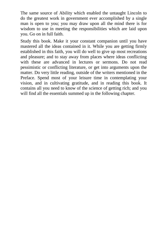The same source of Ability which enabled the untaught Lincoln to do the greatest work in government ever accomplished by a single man is open to you; you may draw upon all the mind there is for wisdom to use in meeting the responsibilities which are laid upon you. Go on in full faith.

Study this book. Make it your constant companion until you have mastered all the ideas contained in it. While you are getting firmly established in this faith, you will do well to give up most recreations and pleasure; and to stay away from places where ideas conflicting with these are advanced in lectures or sermons. Do not read pessimistic or conflicting literature, or get into arguments upon the matter. Do very little reading, outside of the writers mentioned in the Preface. Spend most of your leisure time in contemplating your vision, and in cultivating gratitude, and in reading this book. It contains all you need to know of the science of getting rich; and you will find all the essentials summed up in the following chapter.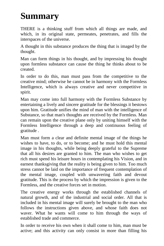### <span id="page-63-0"></span>**Summary**

THERE is a thinking stuff from which all things are made, and which, in its original state, permeates, penetrates, and fills the interspaces of the universe.

A thought in this substance produces the thing that is imaged by the thought.

Man can form things in his thought, and by impressing his thought upon formless substance can cause the thing he thinks about to be created.

In order to do this, man must pass from the competitive to the creative mind; otherwise he cannot be in harmony with the Formless Intelligence, which is always creative and never competitive in spirit.

Man may come into full harmony with the Formless Substance by entertaining a lively and sincere gratitude for the blessings it bestows upon him. Gratitude unifies the mind of man with the intelligence of Substance, so that man's thoughts are received by the Formless. Man can remain upon the creative plane only by uniting himself with the Formless Intelligence through a deep and continuous feeling of gratitude .

Man must form a clear and definite mental image of the things he wishes to have, to do, or to become; and he must hold this mental image in his thoughts, while being deeply grateful to the Supreme that all his desires are granted to him. The man who wishes to get rich must spend his leisure hours in contemplating his Vision, and in earnest thanksgiving that the reality is being given to him. Too much stress cannot be laid on the importance of frequent contemplation of the mental image, coupled with unwavering faith and devout gratitude. This is the process by which the impression is given to the Formless, and the creative forces set in motion.

The creative energy works through the established channels of natural growth, and of the industrial and social order. All that is included in his mental image will surely be brought to the man who follows the instructions given above, and whose faith does not waver. What he wants will come to him through the ways of established trade and commerce.

In order to receive his own when it shall come to him, man must be active; and this activity can only consist in more than filling his